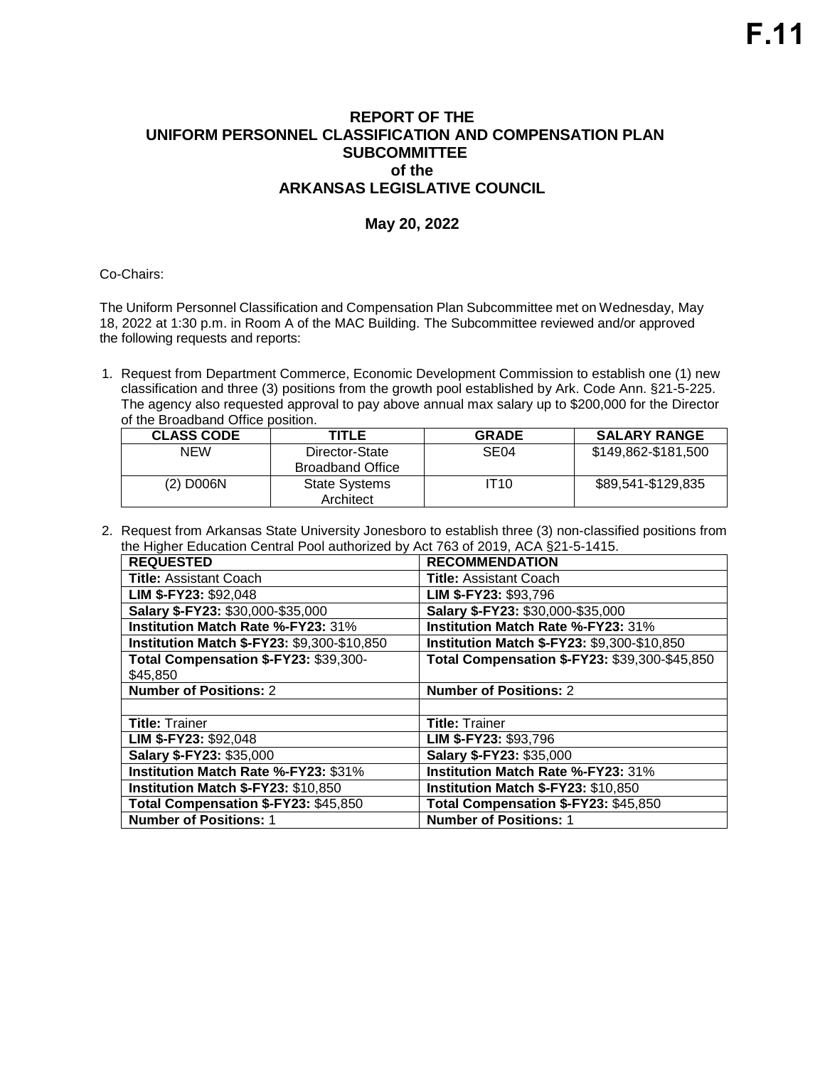## **REPORT OF THE UNIFORM PERSONNEL CLASSIFICATION AND COMPENSATION PLAN SUBCOMMITTEE of the ARKANSAS LEGISLATIVE COUNCIL**

## **May 20, 2022**

## Co-Chairs:

The Uniform Personnel Classification and Compensation Plan Subcommittee met on Wednesday, May 18, 2022 at 1:30 p.m. in Room A of the MAC Building. The Subcommittee reviewed and/or approved the following requests and reports:

1. Request from Department Commerce, Economic Development Commission to establish one (1) new classification and three (3) positions from the growth pool established by Ark. Code Ann. §21-5-225. The agency also requested approval to pay above annual max salary up to \$200,000 for the Director of the Broadband Office position.

| <b>CLASS CODE</b> | TITLE                                     | <b>GRADE</b> | <b>SALARY RANGE</b> |
|-------------------|-------------------------------------------|--------------|---------------------|
| NEW               | Director-State<br><b>Broadband Office</b> | SE04         | \$149,862-\$181,500 |
| (2) D006N         | <b>State Systems</b><br>Architect         | IT10         | \$89,541-\$129,835  |

2. Request from Arkansas State University Jonesboro to establish three (3) non-classified positions from the Higher Education Central Pool authorized by Act 763 of 2019, ACA §21-5-1415.

| <b>REQUESTED</b>                            | <b>RECOMMENDATION</b>                         |  |
|---------------------------------------------|-----------------------------------------------|--|
| <b>Title: Assistant Coach</b>               | <b>Title: Assistant Coach</b>                 |  |
| LIM \$-FY23: \$92,048                       | LIM \$-FY23: \$93,796                         |  |
| Salary \$-FY23: \$30,000-\$35,000           | Salary \$-FY23: \$30,000-\$35,000             |  |
| Institution Match Rate %-FY23: 31%          | Institution Match Rate %-FY23: 31%            |  |
| Institution Match \$-FY23: \$9,300-\$10,850 | Institution Match \$-FY23: \$9,300-\$10,850   |  |
| Total Compensation \$-FY23: \$39,300-       | Total Compensation \$-FY23: \$39,300-\$45,850 |  |
| \$45,850                                    |                                               |  |
| <b>Number of Positions: 2</b>               | <b>Number of Positions: 2</b>                 |  |
|                                             |                                               |  |
| <b>Title: Trainer</b>                       | <b>Title: Trainer</b>                         |  |
| LIM \$-FY23: \$92,048                       | LIM \$-FY23: \$93,796                         |  |
| Salary \$-FY23: \$35,000                    | Salary \$-FY23: \$35,000                      |  |
| Institution Match Rate %-FY23: \$31%        | Institution Match Rate %-FY23: 31%            |  |
| Institution Match \$-FY23: \$10,850         | Institution Match \$-FY23: \$10,850           |  |
| Total Compensation \$-FY23: \$45,850        | Total Compensation \$-FY23: \$45,850          |  |
| <b>Number of Positions: 1</b>               | <b>Number of Positions: 1</b>                 |  |